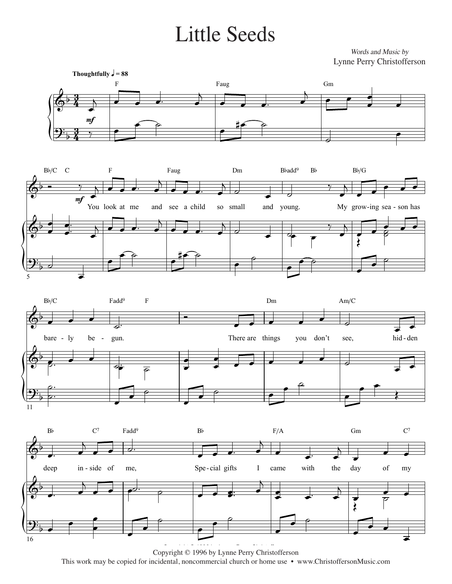## Little Seeds Little Seeds

*Words and Music by* Words and Music by Lynne Perry Christofferson Lynne Perry Christofferson









Copyright © 1996 by Lynne Perry Christofferson This work may be copied for incidental, noncommercial church or home use • www.ChristoffersonMusic.com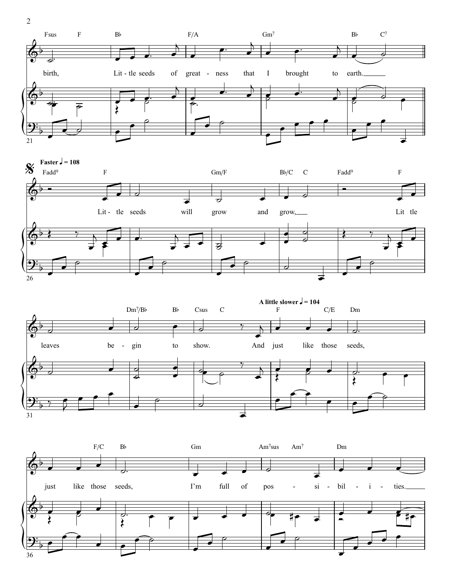